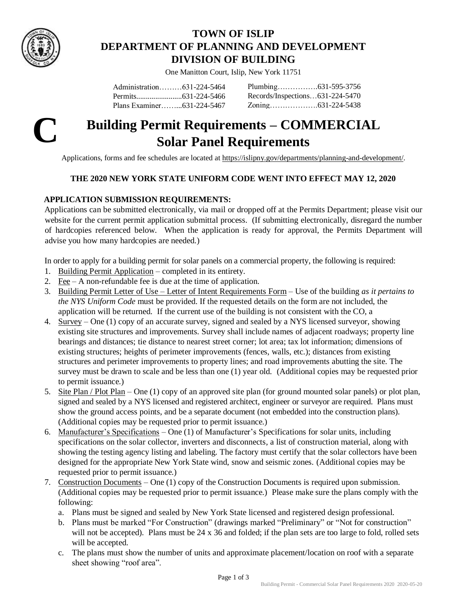

# **TOWN OF ISLIP DEPARTMENT OF PLANNING AND DEVELOPMENT DIVISION OF BUILDING**

One Manitton Court, Islip, New York 11751

Administration………631-224-5464 Permits........................631-224-5466 Plans Examiner……...631-224-5467 Plumbing…………….631-595-3756 Records/Inspections…631-224-5470 Zoning……………….631-224-5438



# **C Building Permit Requirements – COMMERCIAL Solar Panel Requirements**

Applications, forms and fee schedules are located a[t https://islipny.gov/departments/planning-and-development/.](https://islipny.gov/departments/planning-and-development/)

### **THE 2020 NEW YORK STATE UNIFORM CODE WENT INTO EFFECT MAY 12, 2020**

## **APPLICATION SUBMISSION REQUIREMENTS:**

Applications can be submitted electronically, via mail or dropped off at the Permits Department; please visit our website for the current permit application submittal process. (If submitting electronically, disregard the number of hardcopies referenced below. When the application is ready for approval, the Permits Department will advise you how many hardcopies are needed.)

In order to apply for a building permit for solar panels on a commercial property, the following is required:

- 1. [Building Permit Application](https://islipny.gov/building-division-permits-list/35-building-permit-application/file) completed in its entirety.
- 2. [Fee](https://islipny.gov/building-division-permits-list/50-fee-schedule-for-the-building-division-commercial/file) A non-refundable fee is due at the time of application.
- 3. [Building Permit Letter of Use –](https://islipny.gov/building-division-permits-list/847-letter-of-use-letter-of-intent-requirements/file) Letter of Intent Requirements Form Use of the building *as it pertains to the NYS Uniform Code* must be provided. If the requested details on the form are not included, the application will be returned. If the current use of the building is not consistent with the CO, a
- 4. Survey One (1) copy of an accurate survey, signed and sealed by a NYS licensed surveyor, showing existing site structures and improvements. Survey shall include names of adjacent roadways; property line bearings and distances; tie distance to nearest street corner; lot area; tax lot information; dimensions of existing structures; heights of perimeter improvements (fences, walls, etc.); distances from existing structures and perimeter improvements to property lines; and road improvements abutting the site. The survey must be drawn to scale and be less than one (1) year old. (Additional copies may be requested prior to permit issuance.)
- 5. Site Plan / Plot Plan One (1) copy of an approved site plan (for ground mounted solar panels) or plot plan, signed and sealed by a NYS licensed and registered architect, engineer or surveyor are required. Plans must show the ground access points, and be a separate document (not embedded into the construction plans). (Additional copies may be requested prior to permit issuance.)
- 6. Manufacturer's Specifications One (1) of Manufacturer's Specifications for solar units, including specifications on the solar collector, inverters and disconnects, a list of construction material, along with showing the testing agency listing and labeling. The factory must certify that the solar collectors have been designed for the appropriate New York State wind, snow and seismic zones. (Additional copies may be requested prior to permit issuance.)
- 7. Construction Documents One (1) copy of the Construction Documents is required upon submission. (Additional copies may be requested prior to permit issuance.) Please make sure the plans comply with the following:
	- a. Plans must be signed and sealed by New York State licensed and registered design professional.
	- b. Plans must be marked "For Construction" (drawings marked "Preliminary" or "Not for construction" will not be accepted). Plans must be 24 x 36 and folded; if the plan sets are too large to fold, rolled sets will be accepted.
	- c. The plans must show the number of units and approximate placement/location on roof with a separate sheet showing "roof area".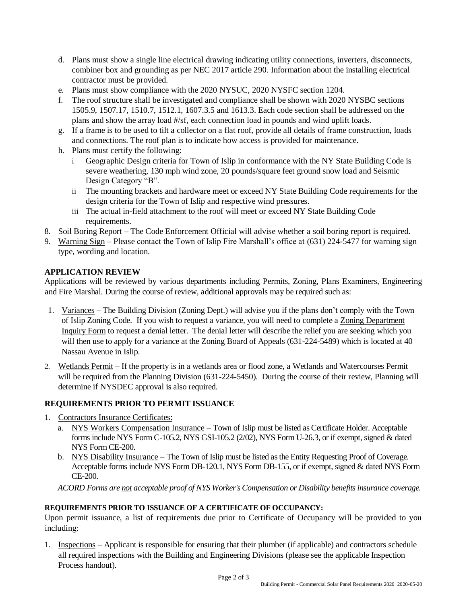- d. Plans must show a single line electrical drawing indicating utility connections, inverters, disconnects, combiner box and grounding as per NEC 2017 article 290. Information about the installing electrical contractor must be provided.
- e. Plans must show compliance with the 2020 NYSUC, 2020 NYSFC section 1204.
- f. The roof structure shall be investigated and compliance shall be shown with 2020 NYSBC sections 1505.9, 1507.17, 1510.7, 1512.1, 1607.3.5 and 1613.3. Each code section shall be addressed on the plans and show the array load #/sf, each connection load in pounds and wind uplift loads.
- g. If a frame is to be used to tilt a collector on a flat roof, provide all details of frame construction, loads and connections. The roof plan is to indicate how access is provided for maintenance.
- h. Plans must certify the following:
	- i Geographic Design criteria for Town of Islip in conformance with the NY State Building Code is severe weathering, 130 mph wind zone, 20 pounds/square feet ground snow load and Seismic Design Category "B".
	- ii The mounting brackets and hardware meet or exceed NY State Building Code requirements for the design criteria for the Town of Islip and respective wind pressures.
	- iii The actual in-field attachment to the roof will meet or exceed NY State Building Code requirements.
- 8. Soil Boring Report The Code Enforcement Official will advise whether a soil boring report is required.
- 9. Warning Sign Please contact the Town of Islip Fire Marshall's office at (631) 224-5477 for warning sign type, wording and location.

#### **APPLICATION REVIEW**

Applications will be reviewed by various departments including Permits, Zoning, Plans Examiners, Engineering and Fire Marshal. During the course of review, additional approvals may be required such as:

- 1. Variances The Building Division (Zoning Dept.) will advise you if the plans don't comply with the Town of Islip Zoning Code. If you wish to request a variance, you will need to complete a [Zoning Department](https://islipny.gov/building-division-permits-list/922-zoning-inquiry-form/file)  [Inquiry Form](https://islipny.gov/building-division-permits-list/922-zoning-inquiry-form/file) to request a denial letter. The denial letter will describe the relief you are seeking which you will then use to apply for a variance at the Zoning Board of Appeals (631-224-5489) which is located at 40 Nassau Avenue in Islip.
- 2. Wetlands Permit If the property is in a wetlands area or flood zone, a Wetlands and Watercourses Permit will be required from the Planning Division (631-224-5450). During the course of their review, Planning will determine if NYSDEC approval is also required.

### **REQUIREMENTS PRIOR TO PERMIT ISSUANCE**

- 1. Contractors Insurance Certificates:
	- a. NYS Workers Compensation Insurance Town of Islip must be listed as Certificate Holder. Acceptable forms include NYS Form C-105.2, NYS GSI-105.2 (2/02), NYS Form U-26.3, or if exempt, signed & dated NYS Form CE-200.
	- b. NYS Disability Insurance The Town of Islip must be listed as the Entity Requesting Proof of Coverage. Acceptable forms include NYS Form DB-120.1, NYS Form DB-155, or if exempt, signed & dated NYS Form CE-200.

*ACORD Forms are not acceptable proof of NYS Worker's Compensation or Disability benefits insurance coverage.*

#### **REQUIREMENTS PRIOR TO ISSUANCE OF A CERTIFICATE OF OCCUPANCY:**

Upon permit issuance, a list of requirements due prior to Certificate of Occupancy will be provided to you including:

1. Inspections – Applicant is responsible for ensuring that their plumber (if applicable) and contractors schedule all required inspections with the Building and Engineering Divisions (please see the applicable Inspection Process handout).